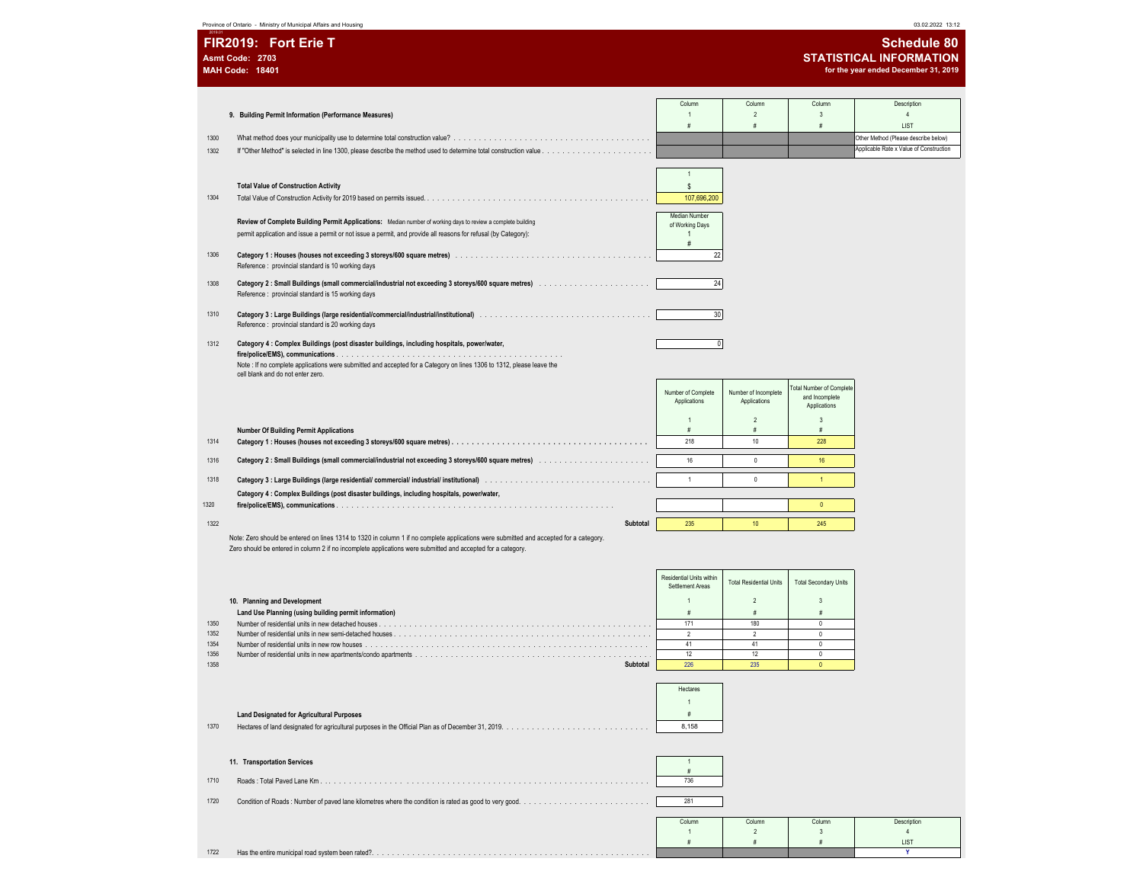Province of Ontario - Ministry of Municipal Affairs and Housing 03.02.2022 13:12

| <b>STATISTICAL INFORMATION</b><br>Asmt Code: 2703<br><b>MAH Code: 18401</b><br>for the year ended December 31, 2019<br>Column<br>Column<br>Column<br>Description<br>9. Building Permit Information (Performance Measures)<br>$\mathfrak{p}$<br>$\mathbf{3}$<br>$\overline{4}$<br>$\mathbf{1}$<br>#<br>$\#$<br>LIST<br>#<br>Other Method (Please describe below)<br>1300<br>Applicable Rate x Value of Construction<br>1302<br>$\overline{1}$<br>\$<br><b>Total Value of Construction Activity</b><br>107,696,200<br>1304<br>Median Number<br>Review of Complete Building Permit Applications: Median number of working days to review a complete building<br>of Working Days<br>permit application and issue a permit or not issue a permit, and provide all reasons for refusal (by Category):<br>$\mathbf{1}$<br>#<br>22<br>1306<br>Reference : provincial standard is 10 working days<br>24<br>1308<br>Reference : provincial standard is 15 working days<br>30<br>1310<br>Reference : provincial standard is 20 working days<br>1312<br>Category 4 : Complex Buildings (post disaster buildings, including hospitals, power/water,<br>$\overline{0}$<br>Note : If no complete applications were submitted and accepted for a Category on lines 1306 to 1312, please leave the<br>cell blank and do not enter zero.<br>otal Number of Complete<br>Number of Complete<br>Number of Incomplete<br>and Incomplete<br>Applications<br>Applications<br>Applications<br>$\overline{2}$<br>3<br>$\mathbf{1}$<br>#<br><b>Number Of Building Permit Applications</b><br>#<br>$\#$<br>10<br>218<br>228<br>1314<br>16<br>$\mathbf{0}$<br>1316<br>16<br>$\ddot{\phantom{1}}$<br>$\mathbf{0}$<br>1318<br>$\overline{1}$<br>Category 4 : Complex Buildings (post disaster buildings, including hospitals, power/water,<br>1320<br>$\theta$<br>1322<br>Subtotal<br>235<br>10<br>245<br>Note: Zero should be entered on lines 1314 to 1320 in column 1 if no complete applications were submitted and accepted for a category.<br>Zero should be entered in column 2 if no incomplete applications were submitted and accepted for a category.<br>Residential Units within<br><b>Total Residential Units</b><br><b>Total Secondary Units</b><br>Settlement Areas<br>$\mathfrak{p}$<br>10. Planning and Development<br>$\overline{1}$<br>3<br>#<br>Land Use Planning (using building permit information)<br>#<br>#<br>171<br>180<br>$\theta$<br>1350<br>1352<br>$\overline{2}$<br>$\overline{2}$<br>$\mathbf 0$<br>41<br>41<br>$\mathbb O$<br>1354<br>12<br>12<br>$\mathsf 0$<br>1356<br>235<br>1358<br>226<br>$\Omega$<br>Subtotal<br>Hectares<br>$\mathbf{1}$<br><b>Land Designated for Agricultural Purposes</b><br>$\#$<br>8,158<br>1370<br>11. Transportation Services<br>$\overline{1}$<br>#<br>1710<br>736<br>1720<br>281<br>Column<br>Column<br>Column<br>Description<br>$\overline{2}$<br>3<br>$\overline{4}$<br>$\mathbf{1}$<br>#<br>$\#$<br>$\#$<br>LIST<br>1722<br>Y | FIR2019: Fort Erie T<br><b>Schedule 80</b> |  |  |  |  |  |  |
|--------------------------------------------------------------------------------------------------------------------------------------------------------------------------------------------------------------------------------------------------------------------------------------------------------------------------------------------------------------------------------------------------------------------------------------------------------------------------------------------------------------------------------------------------------------------------------------------------------------------------------------------------------------------------------------------------------------------------------------------------------------------------------------------------------------------------------------------------------------------------------------------------------------------------------------------------------------------------------------------------------------------------------------------------------------------------------------------------------------------------------------------------------------------------------------------------------------------------------------------------------------------------------------------------------------------------------------------------------------------------------------------------------------------------------------------------------------------------------------------------------------------------------------------------------------------------------------------------------------------------------------------------------------------------------------------------------------------------------------------------------------------------------------------------------------------------------------------------------------------------------------------------------------------------------------------------------------------------------------------------------------------------------------------------------------------------------------------------------------------------------------------------------------------------------------------------------------------------------------------------------------------------------------------------------------------------------------------------------------------------------------------------------------------------------------------------------------------------------------------------------------------------------------------------------------------------------------------------------------------------------------------------------------------------------------------------------------------------------------------------------------------------------------------------------------------------------------------------------------------------------------------------------------------------------------------------------------------|--------------------------------------------|--|--|--|--|--|--|
|                                                                                                                                                                                                                                                                                                                                                                                                                                                                                                                                                                                                                                                                                                                                                                                                                                                                                                                                                                                                                                                                                                                                                                                                                                                                                                                                                                                                                                                                                                                                                                                                                                                                                                                                                                                                                                                                                                                                                                                                                                                                                                                                                                                                                                                                                                                                                                                                                                                                                                                                                                                                                                                                                                                                                                                                                                                                                                                                                                    |                                            |  |  |  |  |  |  |
|                                                                                                                                                                                                                                                                                                                                                                                                                                                                                                                                                                                                                                                                                                                                                                                                                                                                                                                                                                                                                                                                                                                                                                                                                                                                                                                                                                                                                                                                                                                                                                                                                                                                                                                                                                                                                                                                                                                                                                                                                                                                                                                                                                                                                                                                                                                                                                                                                                                                                                                                                                                                                                                                                                                                                                                                                                                                                                                                                                    |                                            |  |  |  |  |  |  |
|                                                                                                                                                                                                                                                                                                                                                                                                                                                                                                                                                                                                                                                                                                                                                                                                                                                                                                                                                                                                                                                                                                                                                                                                                                                                                                                                                                                                                                                                                                                                                                                                                                                                                                                                                                                                                                                                                                                                                                                                                                                                                                                                                                                                                                                                                                                                                                                                                                                                                                                                                                                                                                                                                                                                                                                                                                                                                                                                                                    |                                            |  |  |  |  |  |  |
|                                                                                                                                                                                                                                                                                                                                                                                                                                                                                                                                                                                                                                                                                                                                                                                                                                                                                                                                                                                                                                                                                                                                                                                                                                                                                                                                                                                                                                                                                                                                                                                                                                                                                                                                                                                                                                                                                                                                                                                                                                                                                                                                                                                                                                                                                                                                                                                                                                                                                                                                                                                                                                                                                                                                                                                                                                                                                                                                                                    |                                            |  |  |  |  |  |  |
|                                                                                                                                                                                                                                                                                                                                                                                                                                                                                                                                                                                                                                                                                                                                                                                                                                                                                                                                                                                                                                                                                                                                                                                                                                                                                                                                                                                                                                                                                                                                                                                                                                                                                                                                                                                                                                                                                                                                                                                                                                                                                                                                                                                                                                                                                                                                                                                                                                                                                                                                                                                                                                                                                                                                                                                                                                                                                                                                                                    |                                            |  |  |  |  |  |  |
|                                                                                                                                                                                                                                                                                                                                                                                                                                                                                                                                                                                                                                                                                                                                                                                                                                                                                                                                                                                                                                                                                                                                                                                                                                                                                                                                                                                                                                                                                                                                                                                                                                                                                                                                                                                                                                                                                                                                                                                                                                                                                                                                                                                                                                                                                                                                                                                                                                                                                                                                                                                                                                                                                                                                                                                                                                                                                                                                                                    |                                            |  |  |  |  |  |  |
|                                                                                                                                                                                                                                                                                                                                                                                                                                                                                                                                                                                                                                                                                                                                                                                                                                                                                                                                                                                                                                                                                                                                                                                                                                                                                                                                                                                                                                                                                                                                                                                                                                                                                                                                                                                                                                                                                                                                                                                                                                                                                                                                                                                                                                                                                                                                                                                                                                                                                                                                                                                                                                                                                                                                                                                                                                                                                                                                                                    |                                            |  |  |  |  |  |  |
|                                                                                                                                                                                                                                                                                                                                                                                                                                                                                                                                                                                                                                                                                                                                                                                                                                                                                                                                                                                                                                                                                                                                                                                                                                                                                                                                                                                                                                                                                                                                                                                                                                                                                                                                                                                                                                                                                                                                                                                                                                                                                                                                                                                                                                                                                                                                                                                                                                                                                                                                                                                                                                                                                                                                                                                                                                                                                                                                                                    |                                            |  |  |  |  |  |  |
|                                                                                                                                                                                                                                                                                                                                                                                                                                                                                                                                                                                                                                                                                                                                                                                                                                                                                                                                                                                                                                                                                                                                                                                                                                                                                                                                                                                                                                                                                                                                                                                                                                                                                                                                                                                                                                                                                                                                                                                                                                                                                                                                                                                                                                                                                                                                                                                                                                                                                                                                                                                                                                                                                                                                                                                                                                                                                                                                                                    |                                            |  |  |  |  |  |  |
|                                                                                                                                                                                                                                                                                                                                                                                                                                                                                                                                                                                                                                                                                                                                                                                                                                                                                                                                                                                                                                                                                                                                                                                                                                                                                                                                                                                                                                                                                                                                                                                                                                                                                                                                                                                                                                                                                                                                                                                                                                                                                                                                                                                                                                                                                                                                                                                                                                                                                                                                                                                                                                                                                                                                                                                                                                                                                                                                                                    |                                            |  |  |  |  |  |  |
|                                                                                                                                                                                                                                                                                                                                                                                                                                                                                                                                                                                                                                                                                                                                                                                                                                                                                                                                                                                                                                                                                                                                                                                                                                                                                                                                                                                                                                                                                                                                                                                                                                                                                                                                                                                                                                                                                                                                                                                                                                                                                                                                                                                                                                                                                                                                                                                                                                                                                                                                                                                                                                                                                                                                                                                                                                                                                                                                                                    |                                            |  |  |  |  |  |  |
|                                                                                                                                                                                                                                                                                                                                                                                                                                                                                                                                                                                                                                                                                                                                                                                                                                                                                                                                                                                                                                                                                                                                                                                                                                                                                                                                                                                                                                                                                                                                                                                                                                                                                                                                                                                                                                                                                                                                                                                                                                                                                                                                                                                                                                                                                                                                                                                                                                                                                                                                                                                                                                                                                                                                                                                                                                                                                                                                                                    |                                            |  |  |  |  |  |  |
|                                                                                                                                                                                                                                                                                                                                                                                                                                                                                                                                                                                                                                                                                                                                                                                                                                                                                                                                                                                                                                                                                                                                                                                                                                                                                                                                                                                                                                                                                                                                                                                                                                                                                                                                                                                                                                                                                                                                                                                                                                                                                                                                                                                                                                                                                                                                                                                                                                                                                                                                                                                                                                                                                                                                                                                                                                                                                                                                                                    |                                            |  |  |  |  |  |  |
|                                                                                                                                                                                                                                                                                                                                                                                                                                                                                                                                                                                                                                                                                                                                                                                                                                                                                                                                                                                                                                                                                                                                                                                                                                                                                                                                                                                                                                                                                                                                                                                                                                                                                                                                                                                                                                                                                                                                                                                                                                                                                                                                                                                                                                                                                                                                                                                                                                                                                                                                                                                                                                                                                                                                                                                                                                                                                                                                                                    |                                            |  |  |  |  |  |  |
|                                                                                                                                                                                                                                                                                                                                                                                                                                                                                                                                                                                                                                                                                                                                                                                                                                                                                                                                                                                                                                                                                                                                                                                                                                                                                                                                                                                                                                                                                                                                                                                                                                                                                                                                                                                                                                                                                                                                                                                                                                                                                                                                                                                                                                                                                                                                                                                                                                                                                                                                                                                                                                                                                                                                                                                                                                                                                                                                                                    |                                            |  |  |  |  |  |  |
|                                                                                                                                                                                                                                                                                                                                                                                                                                                                                                                                                                                                                                                                                                                                                                                                                                                                                                                                                                                                                                                                                                                                                                                                                                                                                                                                                                                                                                                                                                                                                                                                                                                                                                                                                                                                                                                                                                                                                                                                                                                                                                                                                                                                                                                                                                                                                                                                                                                                                                                                                                                                                                                                                                                                                                                                                                                                                                                                                                    |                                            |  |  |  |  |  |  |
|                                                                                                                                                                                                                                                                                                                                                                                                                                                                                                                                                                                                                                                                                                                                                                                                                                                                                                                                                                                                                                                                                                                                                                                                                                                                                                                                                                                                                                                                                                                                                                                                                                                                                                                                                                                                                                                                                                                                                                                                                                                                                                                                                                                                                                                                                                                                                                                                                                                                                                                                                                                                                                                                                                                                                                                                                                                                                                                                                                    |                                            |  |  |  |  |  |  |
|                                                                                                                                                                                                                                                                                                                                                                                                                                                                                                                                                                                                                                                                                                                                                                                                                                                                                                                                                                                                                                                                                                                                                                                                                                                                                                                                                                                                                                                                                                                                                                                                                                                                                                                                                                                                                                                                                                                                                                                                                                                                                                                                                                                                                                                                                                                                                                                                                                                                                                                                                                                                                                                                                                                                                                                                                                                                                                                                                                    |                                            |  |  |  |  |  |  |
|                                                                                                                                                                                                                                                                                                                                                                                                                                                                                                                                                                                                                                                                                                                                                                                                                                                                                                                                                                                                                                                                                                                                                                                                                                                                                                                                                                                                                                                                                                                                                                                                                                                                                                                                                                                                                                                                                                                                                                                                                                                                                                                                                                                                                                                                                                                                                                                                                                                                                                                                                                                                                                                                                                                                                                                                                                                                                                                                                                    |                                            |  |  |  |  |  |  |
|                                                                                                                                                                                                                                                                                                                                                                                                                                                                                                                                                                                                                                                                                                                                                                                                                                                                                                                                                                                                                                                                                                                                                                                                                                                                                                                                                                                                                                                                                                                                                                                                                                                                                                                                                                                                                                                                                                                                                                                                                                                                                                                                                                                                                                                                                                                                                                                                                                                                                                                                                                                                                                                                                                                                                                                                                                                                                                                                                                    |                                            |  |  |  |  |  |  |
|                                                                                                                                                                                                                                                                                                                                                                                                                                                                                                                                                                                                                                                                                                                                                                                                                                                                                                                                                                                                                                                                                                                                                                                                                                                                                                                                                                                                                                                                                                                                                                                                                                                                                                                                                                                                                                                                                                                                                                                                                                                                                                                                                                                                                                                                                                                                                                                                                                                                                                                                                                                                                                                                                                                                                                                                                                                                                                                                                                    |                                            |  |  |  |  |  |  |
|                                                                                                                                                                                                                                                                                                                                                                                                                                                                                                                                                                                                                                                                                                                                                                                                                                                                                                                                                                                                                                                                                                                                                                                                                                                                                                                                                                                                                                                                                                                                                                                                                                                                                                                                                                                                                                                                                                                                                                                                                                                                                                                                                                                                                                                                                                                                                                                                                                                                                                                                                                                                                                                                                                                                                                                                                                                                                                                                                                    |                                            |  |  |  |  |  |  |
|                                                                                                                                                                                                                                                                                                                                                                                                                                                                                                                                                                                                                                                                                                                                                                                                                                                                                                                                                                                                                                                                                                                                                                                                                                                                                                                                                                                                                                                                                                                                                                                                                                                                                                                                                                                                                                                                                                                                                                                                                                                                                                                                                                                                                                                                                                                                                                                                                                                                                                                                                                                                                                                                                                                                                                                                                                                                                                                                                                    |                                            |  |  |  |  |  |  |
|                                                                                                                                                                                                                                                                                                                                                                                                                                                                                                                                                                                                                                                                                                                                                                                                                                                                                                                                                                                                                                                                                                                                                                                                                                                                                                                                                                                                                                                                                                                                                                                                                                                                                                                                                                                                                                                                                                                                                                                                                                                                                                                                                                                                                                                                                                                                                                                                                                                                                                                                                                                                                                                                                                                                                                                                                                                                                                                                                                    |                                            |  |  |  |  |  |  |
|                                                                                                                                                                                                                                                                                                                                                                                                                                                                                                                                                                                                                                                                                                                                                                                                                                                                                                                                                                                                                                                                                                                                                                                                                                                                                                                                                                                                                                                                                                                                                                                                                                                                                                                                                                                                                                                                                                                                                                                                                                                                                                                                                                                                                                                                                                                                                                                                                                                                                                                                                                                                                                                                                                                                                                                                                                                                                                                                                                    |                                            |  |  |  |  |  |  |
|                                                                                                                                                                                                                                                                                                                                                                                                                                                                                                                                                                                                                                                                                                                                                                                                                                                                                                                                                                                                                                                                                                                                                                                                                                                                                                                                                                                                                                                                                                                                                                                                                                                                                                                                                                                                                                                                                                                                                                                                                                                                                                                                                                                                                                                                                                                                                                                                                                                                                                                                                                                                                                                                                                                                                                                                                                                                                                                                                                    |                                            |  |  |  |  |  |  |
|                                                                                                                                                                                                                                                                                                                                                                                                                                                                                                                                                                                                                                                                                                                                                                                                                                                                                                                                                                                                                                                                                                                                                                                                                                                                                                                                                                                                                                                                                                                                                                                                                                                                                                                                                                                                                                                                                                                                                                                                                                                                                                                                                                                                                                                                                                                                                                                                                                                                                                                                                                                                                                                                                                                                                                                                                                                                                                                                                                    |                                            |  |  |  |  |  |  |
|                                                                                                                                                                                                                                                                                                                                                                                                                                                                                                                                                                                                                                                                                                                                                                                                                                                                                                                                                                                                                                                                                                                                                                                                                                                                                                                                                                                                                                                                                                                                                                                                                                                                                                                                                                                                                                                                                                                                                                                                                                                                                                                                                                                                                                                                                                                                                                                                                                                                                                                                                                                                                                                                                                                                                                                                                                                                                                                                                                    |                                            |  |  |  |  |  |  |
|                                                                                                                                                                                                                                                                                                                                                                                                                                                                                                                                                                                                                                                                                                                                                                                                                                                                                                                                                                                                                                                                                                                                                                                                                                                                                                                                                                                                                                                                                                                                                                                                                                                                                                                                                                                                                                                                                                                                                                                                                                                                                                                                                                                                                                                                                                                                                                                                                                                                                                                                                                                                                                                                                                                                                                                                                                                                                                                                                                    |                                            |  |  |  |  |  |  |
|                                                                                                                                                                                                                                                                                                                                                                                                                                                                                                                                                                                                                                                                                                                                                                                                                                                                                                                                                                                                                                                                                                                                                                                                                                                                                                                                                                                                                                                                                                                                                                                                                                                                                                                                                                                                                                                                                                                                                                                                                                                                                                                                                                                                                                                                                                                                                                                                                                                                                                                                                                                                                                                                                                                                                                                                                                                                                                                                                                    |                                            |  |  |  |  |  |  |
|                                                                                                                                                                                                                                                                                                                                                                                                                                                                                                                                                                                                                                                                                                                                                                                                                                                                                                                                                                                                                                                                                                                                                                                                                                                                                                                                                                                                                                                                                                                                                                                                                                                                                                                                                                                                                                                                                                                                                                                                                                                                                                                                                                                                                                                                                                                                                                                                                                                                                                                                                                                                                                                                                                                                                                                                                                                                                                                                                                    |                                            |  |  |  |  |  |  |
|                                                                                                                                                                                                                                                                                                                                                                                                                                                                                                                                                                                                                                                                                                                                                                                                                                                                                                                                                                                                                                                                                                                                                                                                                                                                                                                                                                                                                                                                                                                                                                                                                                                                                                                                                                                                                                                                                                                                                                                                                                                                                                                                                                                                                                                                                                                                                                                                                                                                                                                                                                                                                                                                                                                                                                                                                                                                                                                                                                    |                                            |  |  |  |  |  |  |
|                                                                                                                                                                                                                                                                                                                                                                                                                                                                                                                                                                                                                                                                                                                                                                                                                                                                                                                                                                                                                                                                                                                                                                                                                                                                                                                                                                                                                                                                                                                                                                                                                                                                                                                                                                                                                                                                                                                                                                                                                                                                                                                                                                                                                                                                                                                                                                                                                                                                                                                                                                                                                                                                                                                                                                                                                                                                                                                                                                    |                                            |  |  |  |  |  |  |
|                                                                                                                                                                                                                                                                                                                                                                                                                                                                                                                                                                                                                                                                                                                                                                                                                                                                                                                                                                                                                                                                                                                                                                                                                                                                                                                                                                                                                                                                                                                                                                                                                                                                                                                                                                                                                                                                                                                                                                                                                                                                                                                                                                                                                                                                                                                                                                                                                                                                                                                                                                                                                                                                                                                                                                                                                                                                                                                                                                    |                                            |  |  |  |  |  |  |
|                                                                                                                                                                                                                                                                                                                                                                                                                                                                                                                                                                                                                                                                                                                                                                                                                                                                                                                                                                                                                                                                                                                                                                                                                                                                                                                                                                                                                                                                                                                                                                                                                                                                                                                                                                                                                                                                                                                                                                                                                                                                                                                                                                                                                                                                                                                                                                                                                                                                                                                                                                                                                                                                                                                                                                                                                                                                                                                                                                    |                                            |  |  |  |  |  |  |
|                                                                                                                                                                                                                                                                                                                                                                                                                                                                                                                                                                                                                                                                                                                                                                                                                                                                                                                                                                                                                                                                                                                                                                                                                                                                                                                                                                                                                                                                                                                                                                                                                                                                                                                                                                                                                                                                                                                                                                                                                                                                                                                                                                                                                                                                                                                                                                                                                                                                                                                                                                                                                                                                                                                                                                                                                                                                                                                                                                    |                                            |  |  |  |  |  |  |
|                                                                                                                                                                                                                                                                                                                                                                                                                                                                                                                                                                                                                                                                                                                                                                                                                                                                                                                                                                                                                                                                                                                                                                                                                                                                                                                                                                                                                                                                                                                                                                                                                                                                                                                                                                                                                                                                                                                                                                                                                                                                                                                                                                                                                                                                                                                                                                                                                                                                                                                                                                                                                                                                                                                                                                                                                                                                                                                                                                    |                                            |  |  |  |  |  |  |
|                                                                                                                                                                                                                                                                                                                                                                                                                                                                                                                                                                                                                                                                                                                                                                                                                                                                                                                                                                                                                                                                                                                                                                                                                                                                                                                                                                                                                                                                                                                                                                                                                                                                                                                                                                                                                                                                                                                                                                                                                                                                                                                                                                                                                                                                                                                                                                                                                                                                                                                                                                                                                                                                                                                                                                                                                                                                                                                                                                    |                                            |  |  |  |  |  |  |
|                                                                                                                                                                                                                                                                                                                                                                                                                                                                                                                                                                                                                                                                                                                                                                                                                                                                                                                                                                                                                                                                                                                                                                                                                                                                                                                                                                                                                                                                                                                                                                                                                                                                                                                                                                                                                                                                                                                                                                                                                                                                                                                                                                                                                                                                                                                                                                                                                                                                                                                                                                                                                                                                                                                                                                                                                                                                                                                                                                    |                                            |  |  |  |  |  |  |
|                                                                                                                                                                                                                                                                                                                                                                                                                                                                                                                                                                                                                                                                                                                                                                                                                                                                                                                                                                                                                                                                                                                                                                                                                                                                                                                                                                                                                                                                                                                                                                                                                                                                                                                                                                                                                                                                                                                                                                                                                                                                                                                                                                                                                                                                                                                                                                                                                                                                                                                                                                                                                                                                                                                                                                                                                                                                                                                                                                    |                                            |  |  |  |  |  |  |
|                                                                                                                                                                                                                                                                                                                                                                                                                                                                                                                                                                                                                                                                                                                                                                                                                                                                                                                                                                                                                                                                                                                                                                                                                                                                                                                                                                                                                                                                                                                                                                                                                                                                                                                                                                                                                                                                                                                                                                                                                                                                                                                                                                                                                                                                                                                                                                                                                                                                                                                                                                                                                                                                                                                                                                                                                                                                                                                                                                    |                                            |  |  |  |  |  |  |
|                                                                                                                                                                                                                                                                                                                                                                                                                                                                                                                                                                                                                                                                                                                                                                                                                                                                                                                                                                                                                                                                                                                                                                                                                                                                                                                                                                                                                                                                                                                                                                                                                                                                                                                                                                                                                                                                                                                                                                                                                                                                                                                                                                                                                                                                                                                                                                                                                                                                                                                                                                                                                                                                                                                                                                                                                                                                                                                                                                    |                                            |  |  |  |  |  |  |
|                                                                                                                                                                                                                                                                                                                                                                                                                                                                                                                                                                                                                                                                                                                                                                                                                                                                                                                                                                                                                                                                                                                                                                                                                                                                                                                                                                                                                                                                                                                                                                                                                                                                                                                                                                                                                                                                                                                                                                                                                                                                                                                                                                                                                                                                                                                                                                                                                                                                                                                                                                                                                                                                                                                                                                                                                                                                                                                                                                    |                                            |  |  |  |  |  |  |
|                                                                                                                                                                                                                                                                                                                                                                                                                                                                                                                                                                                                                                                                                                                                                                                                                                                                                                                                                                                                                                                                                                                                                                                                                                                                                                                                                                                                                                                                                                                                                                                                                                                                                                                                                                                                                                                                                                                                                                                                                                                                                                                                                                                                                                                                                                                                                                                                                                                                                                                                                                                                                                                                                                                                                                                                                                                                                                                                                                    |                                            |  |  |  |  |  |  |
|                                                                                                                                                                                                                                                                                                                                                                                                                                                                                                                                                                                                                                                                                                                                                                                                                                                                                                                                                                                                                                                                                                                                                                                                                                                                                                                                                                                                                                                                                                                                                                                                                                                                                                                                                                                                                                                                                                                                                                                                                                                                                                                                                                                                                                                                                                                                                                                                                                                                                                                                                                                                                                                                                                                                                                                                                                                                                                                                                                    |                                            |  |  |  |  |  |  |
|                                                                                                                                                                                                                                                                                                                                                                                                                                                                                                                                                                                                                                                                                                                                                                                                                                                                                                                                                                                                                                                                                                                                                                                                                                                                                                                                                                                                                                                                                                                                                                                                                                                                                                                                                                                                                                                                                                                                                                                                                                                                                                                                                                                                                                                                                                                                                                                                                                                                                                                                                                                                                                                                                                                                                                                                                                                                                                                                                                    |                                            |  |  |  |  |  |  |
|                                                                                                                                                                                                                                                                                                                                                                                                                                                                                                                                                                                                                                                                                                                                                                                                                                                                                                                                                                                                                                                                                                                                                                                                                                                                                                                                                                                                                                                                                                                                                                                                                                                                                                                                                                                                                                                                                                                                                                                                                                                                                                                                                                                                                                                                                                                                                                                                                                                                                                                                                                                                                                                                                                                                                                                                                                                                                                                                                                    |                                            |  |  |  |  |  |  |
|                                                                                                                                                                                                                                                                                                                                                                                                                                                                                                                                                                                                                                                                                                                                                                                                                                                                                                                                                                                                                                                                                                                                                                                                                                                                                                                                                                                                                                                                                                                                                                                                                                                                                                                                                                                                                                                                                                                                                                                                                                                                                                                                                                                                                                                                                                                                                                                                                                                                                                                                                                                                                                                                                                                                                                                                                                                                                                                                                                    |                                            |  |  |  |  |  |  |
|                                                                                                                                                                                                                                                                                                                                                                                                                                                                                                                                                                                                                                                                                                                                                                                                                                                                                                                                                                                                                                                                                                                                                                                                                                                                                                                                                                                                                                                                                                                                                                                                                                                                                                                                                                                                                                                                                                                                                                                                                                                                                                                                                                                                                                                                                                                                                                                                                                                                                                                                                                                                                                                                                                                                                                                                                                                                                                                                                                    |                                            |  |  |  |  |  |  |
|                                                                                                                                                                                                                                                                                                                                                                                                                                                                                                                                                                                                                                                                                                                                                                                                                                                                                                                                                                                                                                                                                                                                                                                                                                                                                                                                                                                                                                                                                                                                                                                                                                                                                                                                                                                                                                                                                                                                                                                                                                                                                                                                                                                                                                                                                                                                                                                                                                                                                                                                                                                                                                                                                                                                                                                                                                                                                                                                                                    |                                            |  |  |  |  |  |  |
|                                                                                                                                                                                                                                                                                                                                                                                                                                                                                                                                                                                                                                                                                                                                                                                                                                                                                                                                                                                                                                                                                                                                                                                                                                                                                                                                                                                                                                                                                                                                                                                                                                                                                                                                                                                                                                                                                                                                                                                                                                                                                                                                                                                                                                                                                                                                                                                                                                                                                                                                                                                                                                                                                                                                                                                                                                                                                                                                                                    |                                            |  |  |  |  |  |  |
|                                                                                                                                                                                                                                                                                                                                                                                                                                                                                                                                                                                                                                                                                                                                                                                                                                                                                                                                                                                                                                                                                                                                                                                                                                                                                                                                                                                                                                                                                                                                                                                                                                                                                                                                                                                                                                                                                                                                                                                                                                                                                                                                                                                                                                                                                                                                                                                                                                                                                                                                                                                                                                                                                                                                                                                                                                                                                                                                                                    |                                            |  |  |  |  |  |  |
|                                                                                                                                                                                                                                                                                                                                                                                                                                                                                                                                                                                                                                                                                                                                                                                                                                                                                                                                                                                                                                                                                                                                                                                                                                                                                                                                                                                                                                                                                                                                                                                                                                                                                                                                                                                                                                                                                                                                                                                                                                                                                                                                                                                                                                                                                                                                                                                                                                                                                                                                                                                                                                                                                                                                                                                                                                                                                                                                                                    |                                            |  |  |  |  |  |  |
|                                                                                                                                                                                                                                                                                                                                                                                                                                                                                                                                                                                                                                                                                                                                                                                                                                                                                                                                                                                                                                                                                                                                                                                                                                                                                                                                                                                                                                                                                                                                                                                                                                                                                                                                                                                                                                                                                                                                                                                                                                                                                                                                                                                                                                                                                                                                                                                                                                                                                                                                                                                                                                                                                                                                                                                                                                                                                                                                                                    |                                            |  |  |  |  |  |  |